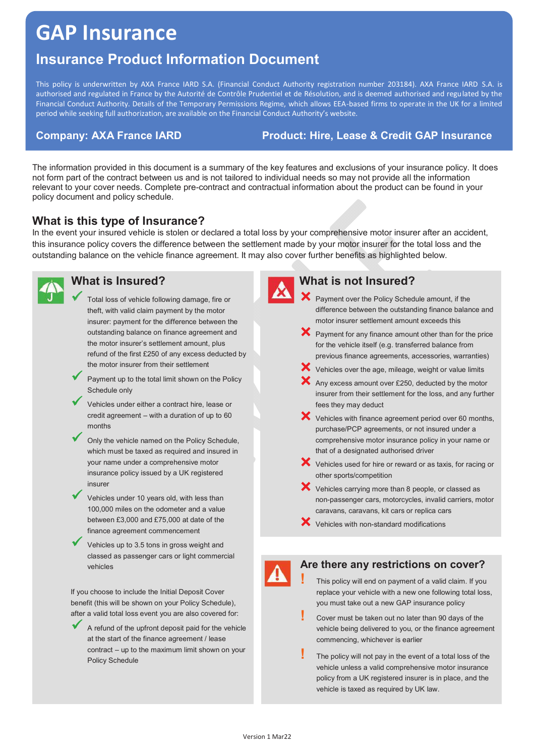# **GAP Insurance**

## **Insurance Product Information Document**

This policy is underwritten by AXA France IARD S.A. (Financial Conduct Authority registration number 203184). AXA France IARD S.A. is authorised and regulated in France by the Autorité de Contrôle Prudentiel et de Résolution, and is deemed authorised and regulated by the Financial Conduct Authority. Details of the Temporary Permissions Regime, which allows EEA-based firms to operate in the UK for a limited period while seeking full authorization, are available on the Financial Conduct Authority's website.

#### **Company: AXA France IARD Product: Hire, Lease & Credit GAP Insurance**

The information provided in this document is a summary of the key features and exclusions of your insurance policy. It does not form part of the contract between us and is not tailored to individual needs so may not provide all the information relevant to your cover needs. Complete pre-contract and contractual information about the product can be found in your policy document and policy schedule.

#### **What is this type of Insurance?**

In the event your insured vehicle is stolen or declared a total loss by your comprehensive motor insurer after an accident, this insurance policy covers the difference between the settlement made by your motor insurer for the total loss and the outstanding balance on the vehicle finance agreement. It may also cover further benefits as highlighted below.



### **What is Insured?**

- Total loss of vehicle following damage, fire or theft, with valid claim payment by the motor insurer: payment for the difference between the outstanding balance on finance agreement and the motor insurer's settlement amount, plus refund of the first £250 of any excess deducted by the motor insurer from their settlement
- Payment up to the total limit shown on the Policy Schedule only
- Vehicles under either a contract hire, lease or credit agreement – with a duration of up to 60 months
- Only the vehicle named on the Policy Schedule, which must be taxed as required and insured in your name under a comprehensive motor insurance policy issued by a UK registered insurer
- Vehicles under 10 years old, with less than 100,000 miles on the odometer and a value between £3,000 and £75,000 at date of the finance agreement commencement
- Vehicles up to 3.5 tons in gross weight and classed as passenger cars or light commercial vehicles

If you choose to include the Initial Deposit Cover benefit (this will be shown on your Policy Schedule), after a valid total loss event you are also covered for:

9 A refund of the upfront deposit paid for the vehicle at the start of the finance agreement / lease contract – up to the maximum limit shown on your Policy Schedule



#### **What is not Insured?**

- X Payment over the Policy Schedule amount, if the difference between the outstanding finance balance and motor insurer settlement amount exceeds this
- $\mathsf{\times}$  Payment for any finance amount other than for the price for the vehicle itself (e.g. transferred balance from previous finance agreements, accessories, warranties)
- $\blacktriangleright$  Vehicles over the age, mileage, weight or value limits
- $\mathsf{\times}$  Any excess amount over £250, deducted by the motor insurer from their settlement for the loss, and any further fees they may deduct
- $\mathsf{\hat{X}}$  Vehicles with finance agreement period over 60 months, purchase/PCP agreements, or not insured under a comprehensive motor insurance policy in your name or that of a designated authorised driver
- $\blacktriangleright$  Vehicles used for hire or reward or as taxis, for racing or other sports/competition
- $\blacktriangleright$  Vehicles carrying more than 8 people, or classed as non-passenger cars, motorcycles, invalid carriers, motor caravans, caravans, kit cars or replica cars
- $\mathsf{\times}$  Vehicles with non-standard modifications

#### **Are there any restrictions on cover?**

**!** This policy will end on payment of a valid claim. If you replace your vehicle with a new one following total loss, you must take out a new GAP insurance policy

- **!** Cover must be taken out no later than 90 days of the vehicle being delivered to you, or the finance agreement commencing, whichever is earlier
- **!** The policy will not pay in the event of a total loss of the vehicle unless a valid comprehensive motor insurance policy from a UK registered insurer is in place, and the vehicle is taxed as required by UK law.